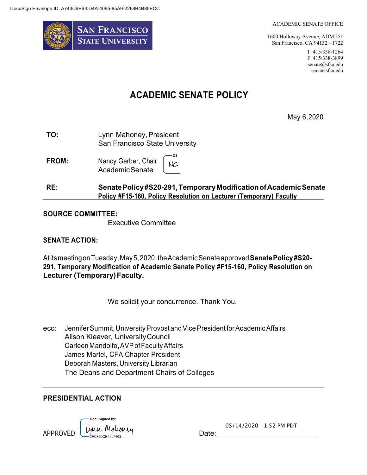

#### ACADEMIC SENATE OFFICE

1600 Holloway Avenue, ADM 551 San Francisco, CA 94132 – 1722 T: 415/338-1264 F: 415/338-3899 senate@sfsu.edu senate.sfsu.edu

# **ACADEMIC SENATE POLICY**

May 6,2020

**TO:** Lynn Mahoney, President San Francisco State University

·DS **FROM:** Nancy Gerber, Chair NG AcademicSenate

### **RE: SenatePolicy#S20-291,TemporaryModificationofAcademicSenate Policy #F15-160, Policy Resolution on Lecturer (Temporary) Faculty**

**SOURCE COMMITTEE:**

Executive Committee

#### **SENATE ACTION:**

AtitsmeetingonTuesday,May5,2020,theAcademicSenateapproved**SenatePolicy#S20- 291, Temporary Modification of Academic Senate Policy #F15-160, Policy Resolution on Lecturer (Temporary)Faculty.**

We solicit your concurrence. Thank You.

ecc: Jennifer Summit, University Provost and Vice President for Academic Affairs Alison Kleaver, UniversityCouncil Carleen Mandolfo,AVPofFacultyAffairs James Martel, CFA Chapter President Deborah Masters, University Librarian The Deans and Department Chairs of Colleges

#### **PRESIDENTIAL ACTION**

DocuSianed by: Lynn Malconey<br>Date: APPROVED

05/14/2020 | 1:52 PM PDT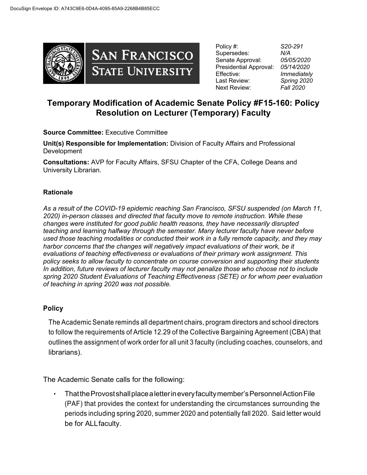

Policy #: *S20-291* Supersedes: *N/A* Senate Approval: *05/05/2020*  Presidential Approval: *05/14/2020* Effective: *Immediately* Last Review: *Spring 2020* Next Review: *Fall 2020*

## **Temporary Modification of Academic Senate Policy #F15-160: Policy Resolution on Lecturer (Temporary) Faculty**

**Source Committee:** Executive Committee

**Unit(s) Responsible for Implementation:** Division of Faculty Affairs and Professional Development

**Consultations:** AVP for Faculty Affairs, SFSU Chapter of the CFA, College Deans and University Librarian.

#### **Rationale**

*As a result of the COVID-19 epidemic reaching San Francisco, SFSU suspended (on March 11, 2020) in-person classes and directed that faculty move to remote instruction. While these changes were instituted for good public health reasons, they have necessarily disrupted teaching and learning halfway through the semester. Many lecturer faculty have never before used those teaching modalities or conducted their work in a fully remote capacity, and they may harbor concerns that the changes will negatively impact evaluations of their work, be it evaluations of teaching effectiveness or evaluations of their primary work assignment. This policy seeks to allow faculty to concentrate on course conversion and supporting their students In addition, future reviews of lecturer faculty may not penalize those who choose not to include spring 2020 Student Evaluations of Teaching Effectiveness (SETE) or for whom peer evaluation of teaching in spring 2020 was not possible.*

#### **Policy**

The Academic Senate reminds all department chairs, program directors and school directors to follow the requirements of Article 12.29 of the Collective Bargaining Agreement (CBA) that outlines the assignment of work order for all unit 3 faculty (including coaches, counselors, and librarians).

The Academic Senate calls for the following:

• That the Provost shall place a letter in every faculty member's Personnel Action File (PAF) that provides the context for understanding the circumstances surrounding the periods including spring 2020, summer 2020 and potentially fall 2020. Said letter would be for ALLfaculty.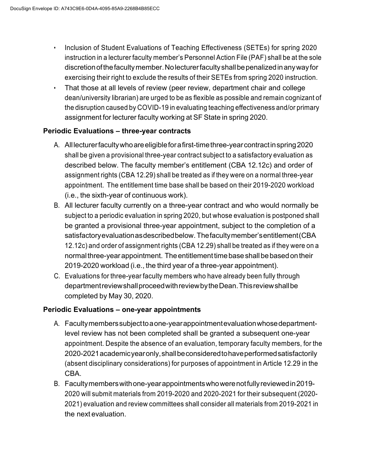- Inclusion of Student Evaluations of Teaching Effectiveness (SETEs) for spring 2020 instruction in a lecturer faculty member's Personnel Action File (PAF) shall be at the sole discretionofthefacultymember.Nolecturerfacultyshallbepenalizedinanywayfor exercising their right to exclude the results of their SETEs from spring 2020 instruction.
- That those at all levels of review (peer review, department chair and college dean/university librarian) are urged to be as flexible as possible and remain cognizant of the disruption caused by COVID-19 in evaluating teaching effectiveness and/or primary assignment for lecturer faculty working at SF State in spring 2020.

#### **Periodic Evaluations – three-year contracts**

- A. Alllecturerfacultywhoareeligibleforafirst-timethree-yearcontractinspring2020 shall be given a provisional three-year contract subject to a satisfactory evaluation as described below. The faculty member's entitlement (CBA 12.12c) and order of assignment rights (CBA 12.29) shall be treated as if they were on a normal three-year appointment. The entitlement time base shall be based on their 2019-2020 workload (i.e., the sixth-year of continuous work).
- B. All lecturer faculty currently on a three-year contract and who would normally be subject to a periodic evaluation in spring 2020, but whose evaluation is postponed shall be granted a provisional three-year appointment, subject to the completion of a satisfactoryevaluationasdescribedbelow. Thefacultymember'sentitlement(CBA 12.12c) and order of assignment rights (CBA 12.29) shall be treated as if they were on a normal three-year appointment. The entitlement time base shall be based on their 2019-2020 workload (i.e., the third year of a three-year appointment).
- C. Evaluations for three-year faculty members who have already been fully through department review shall proceed with review by the Dean. This review shall be completed by May 30, 2020.

#### **Periodic Evaluations – one-year appointments**

- A. Facultymemberssubjecttoaone-yearappointmentevaluationwhosedepartmentlevel review has not been completed shall be granted a subsequent one-year appointment. Despite the absence of an evaluation, temporary faculty members, for the 2020-2021academicyearonly,shallbeconsideredtohaveperformedsatisfactorily (absent disciplinary considerations) for purposes of appointment in Article 12.29 in the CBA.
- B. Facultymemberswithone-yearappointmentswhowerenotfullyreviewedin2019- 2020 will submit materials from 2019-2020 and 2020-2021 for their subsequent (2020- 2021) evaluation and review committees shall consider all materials from 2019-2021 in the next evaluation.